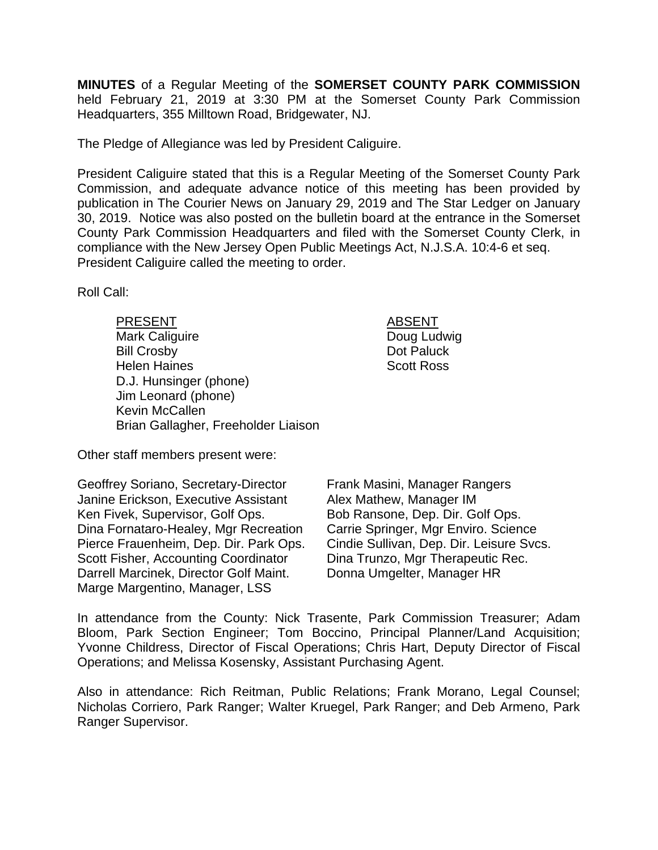**MINUTES** of a Regular Meeting of the **SOMERSET COUNTY PARK COMMISSION** held February 21, 2019 at 3:30 PM at the Somerset County Park Commission Headquarters, 355 Milltown Road, Bridgewater, NJ.

The Pledge of Allegiance was led by President Caliguire.

President Caliguire stated that this is a Regular Meeting of the Somerset County Park Commission, and adequate advance notice of this meeting has been provided by publication in The Courier News on January 29, 2019 and The Star Ledger on January 30, 2019. Notice was also posted on the bulletin board at the entrance in the Somerset County Park Commission Headquarters and filed with the Somerset County Clerk, in compliance with the New Jersey Open Public Meetings Act, N.J.S.A. 10:4-6 et seq. President Caliguire called the meeting to order.

Roll Call:

PRESENT ABSENT Mark Caliguire **Doug Ludwig** Bill Crosby **Dot Paluck** Helen Haines Scott Ross D.J. Hunsinger (phone) Jim Leonard (phone) Kevin McCallen Brian Gallagher, Freeholder Liaison

Other staff members present were:

Geoffrey Soriano, Secretary-Director Janine Erickson, Executive Assistant Ken Fivek, Supervisor, Golf Ops. Dina Fornataro-Healey, Mgr Recreation Pierce Frauenheim, Dep. Dir. Park Ops. Scott Fisher, Accounting Coordinator Darrell Marcinek, Director Golf Maint. Marge Margentino, Manager, LSS

Frank Masini, Manager Rangers Alex Mathew, Manager IM Bob Ransone, Dep. Dir. Golf Ops. Carrie Springer, Mgr Enviro. Science Cindie Sullivan, Dep. Dir. Leisure Svcs. Dina Trunzo, Mgr Therapeutic Rec. Donna Umgelter, Manager HR

In attendance from the County: Nick Trasente, Park Commission Treasurer; Adam Bloom, Park Section Engineer; Tom Boccino, Principal Planner/Land Acquisition; Yvonne Childress, Director of Fiscal Operations; Chris Hart, Deputy Director of Fiscal Operations; and Melissa Kosensky, Assistant Purchasing Agent.

Also in attendance: Rich Reitman, Public Relations; Frank Morano, Legal Counsel; Nicholas Corriero, Park Ranger; Walter Kruegel, Park Ranger; and Deb Armeno, Park Ranger Supervisor.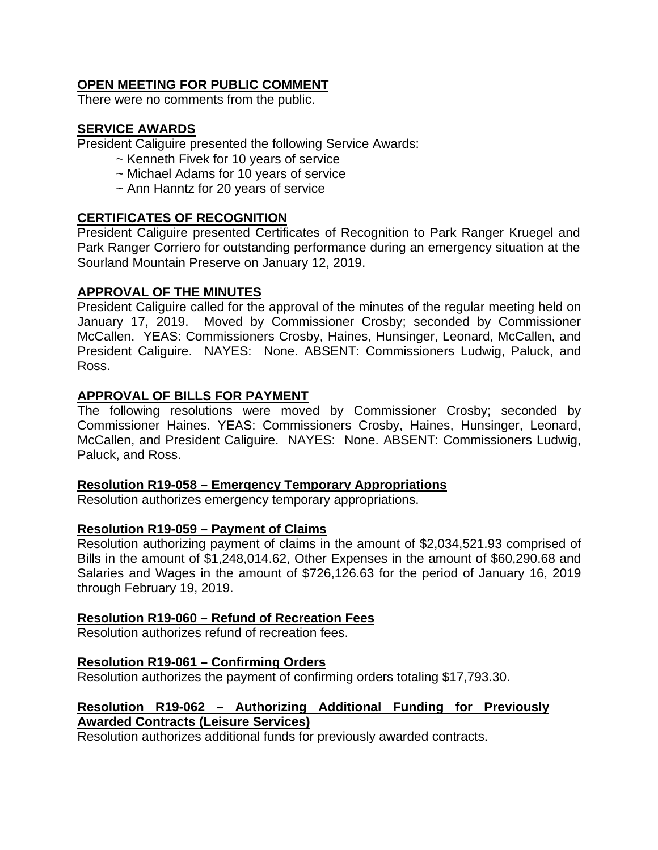# **OPEN MEETING FOR PUBLIC COMMENT**

There were no comments from the public.

# **SERVICE AWARDS**

President Caliguire presented the following Service Awards:

- ~ Kenneth Fivek for 10 years of service
- ~ Michael Adams for 10 years of service
- ~ Ann Hanntz for 20 years of service

# **CERTIFICATES OF RECOGNITION**

President Caliguire presented Certificates of Recognition to Park Ranger Kruegel and Park Ranger Corriero for outstanding performance during an emergency situation at the Sourland Mountain Preserve on January 12, 2019.

### **APPROVAL OF THE MINUTES**

President Caliguire called for the approval of the minutes of the regular meeting held on January 17, 2019. Moved by Commissioner Crosby; seconded by Commissioner McCallen. YEAS: Commissioners Crosby, Haines, Hunsinger, Leonard, McCallen, and President Caliguire. NAYES: None. ABSENT: Commissioners Ludwig, Paluck, and Ross.

### **APPROVAL OF BILLS FOR PAYMENT**

The following resolutions were moved by Commissioner Crosby; seconded by Commissioner Haines. YEAS: Commissioners Crosby, Haines, Hunsinger, Leonard, McCallen, and President Caliguire. NAYES: None. ABSENT: Commissioners Ludwig, Paluck, and Ross.

#### **Resolution R19-058 – Emergency Temporary Appropriations**

Resolution authorizes emergency temporary appropriations.

#### **Resolution R19-059 – Payment of Claims**

Resolution authorizing payment of claims in the amount of \$2,034,521.93 comprised of Bills in the amount of \$1,248,014.62, Other Expenses in the amount of \$60,290.68 and Salaries and Wages in the amount of \$726,126.63 for the period of January 16, 2019 through February 19, 2019.

# **Resolution R19-060 – Refund of Recreation Fees**

Resolution authorizes refund of recreation fees.

#### **Resolution R19-061 – Confirming Orders**

Resolution authorizes the payment of confirming orders totaling \$17,793.30.

# **Resolution R19-062 – Authorizing Additional Funding for Previously Awarded Contracts (Leisure Services)**

Resolution authorizes additional funds for previously awarded contracts.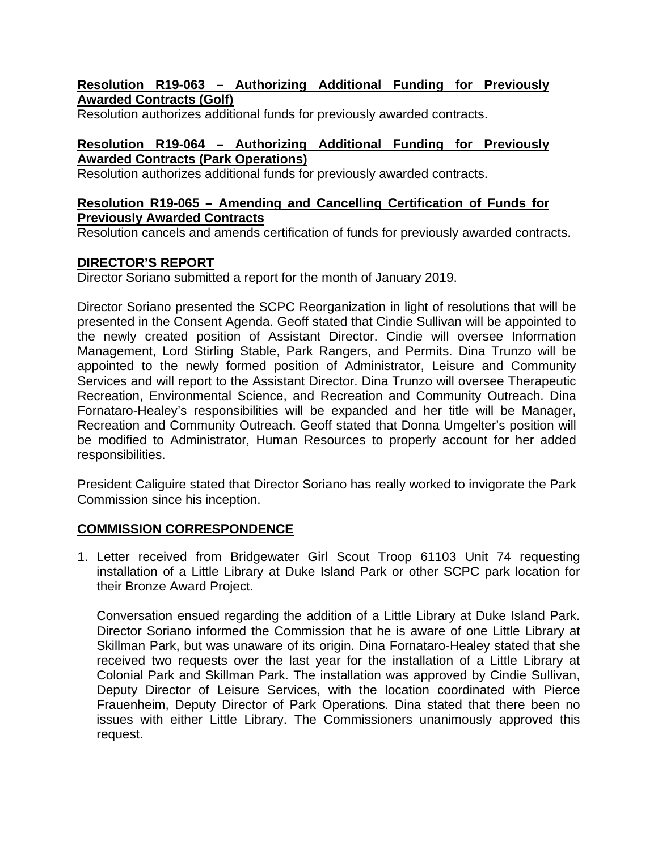### **Resolution R19-063 – Authorizing Additional Funding for Previously Awarded Contracts (Golf)**

Resolution authorizes additional funds for previously awarded contracts.

# **Resolution R19-064 – Authorizing Additional Funding for Previously Awarded Contracts (Park Operations)**

Resolution authorizes additional funds for previously awarded contracts.

### **Resolution R19-065 – Amending and Cancelling Certification of Funds for Previously Awarded Contracts**

Resolution cancels and amends certification of funds for previously awarded contracts.

# **DIRECTOR'S REPORT**

Director Soriano submitted a report for the month of January 2019.

Director Soriano presented the SCPC Reorganization in light of resolutions that will be presented in the Consent Agenda. Geoff stated that Cindie Sullivan will be appointed to the newly created position of Assistant Director. Cindie will oversee Information Management, Lord Stirling Stable, Park Rangers, and Permits. Dina Trunzo will be appointed to the newly formed position of Administrator, Leisure and Community Services and will report to the Assistant Director. Dina Trunzo will oversee Therapeutic Recreation, Environmental Science, and Recreation and Community Outreach. Dina Fornataro-Healey's responsibilities will be expanded and her title will be Manager, Recreation and Community Outreach. Geoff stated that Donna Umgelter's position will be modified to Administrator, Human Resources to properly account for her added responsibilities.

President Caliguire stated that Director Soriano has really worked to invigorate the Park Commission since his inception.

# **COMMISSION CORRESPONDENCE**

1. Letter received from Bridgewater Girl Scout Troop 61103 Unit 74 requesting installation of a Little Library at Duke Island Park or other SCPC park location for their Bronze Award Project.

Conversation ensued regarding the addition of a Little Library at Duke Island Park. Director Soriano informed the Commission that he is aware of one Little Library at Skillman Park, but was unaware of its origin. Dina Fornataro-Healey stated that she received two requests over the last year for the installation of a Little Library at Colonial Park and Skillman Park. The installation was approved by Cindie Sullivan, Deputy Director of Leisure Services, with the location coordinated with Pierce Frauenheim, Deputy Director of Park Operations. Dina stated that there been no issues with either Little Library. The Commissioners unanimously approved this request.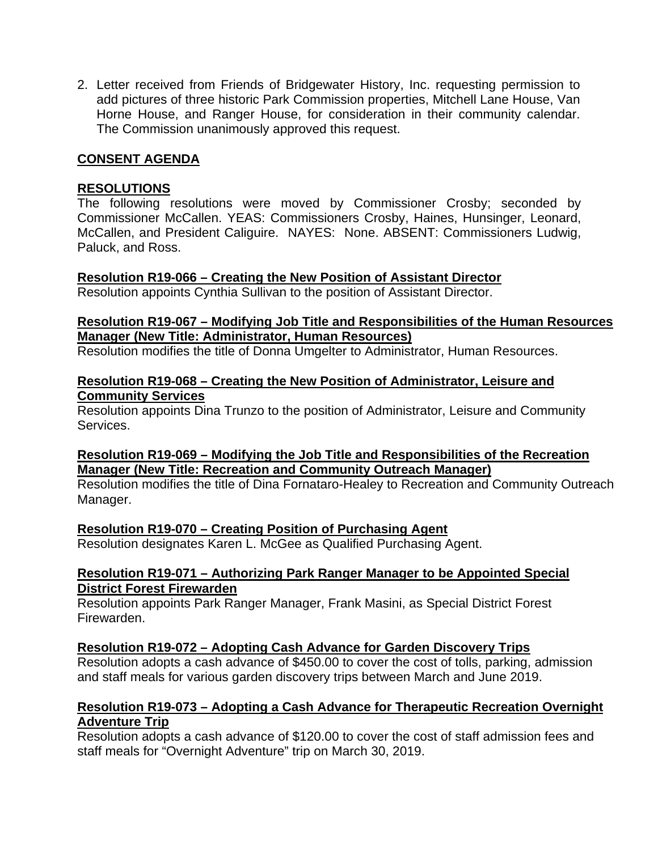2. Letter received from Friends of Bridgewater History, Inc. requesting permission to add pictures of three historic Park Commission properties, Mitchell Lane House, Van Horne House, and Ranger House, for consideration in their community calendar. The Commission unanimously approved this request.

# **CONSENT AGENDA**

#### **RESOLUTIONS**

The following resolutions were moved by Commissioner Crosby; seconded by Commissioner McCallen. YEAS: Commissioners Crosby, Haines, Hunsinger, Leonard, McCallen, and President Caliguire. NAYES: None. ABSENT: Commissioners Ludwig, Paluck, and Ross.

#### **Resolution R19-066 – Creating the New Position of Assistant Director**

Resolution appoints Cynthia Sullivan to the position of Assistant Director.

### **Resolution R19-067 – Modifying Job Title and Responsibilities of the Human Resources Manager (New Title: Administrator, Human Resources)**

Resolution modifies the title of Donna Umgelter to Administrator, Human Resources.

#### **Resolution R19-068 – Creating the New Position of Administrator, Leisure and Community Services**

Resolution appoints Dina Trunzo to the position of Administrator, Leisure and Community Services.

#### **Resolution R19-069 – Modifying the Job Title and Responsibilities of the Recreation Manager (New Title: Recreation and Community Outreach Manager)**

Resolution modifies the title of Dina Fornataro-Healey to Recreation and Community Outreach Manager.

# **Resolution R19-070 – Creating Position of Purchasing Agent**

Resolution designates Karen L. McGee as Qualified Purchasing Agent.

#### **Resolution R19-071 – Authorizing Park Ranger Manager to be Appointed Special District Forest Firewarden**

Resolution appoints Park Ranger Manager, Frank Masini, as Special District Forest Firewarden.

#### **Resolution R19-072 – Adopting Cash Advance for Garden Discovery Trips**

Resolution adopts a cash advance of \$450.00 to cover the cost of tolls, parking, admission and staff meals for various garden discovery trips between March and June 2019.

### **Resolution R19-073 – Adopting a Cash Advance for Therapeutic Recreation Overnight Adventure Trip**

Resolution adopts a cash advance of \$120.00 to cover the cost of staff admission fees and staff meals for "Overnight Adventure" trip on March 30, 2019.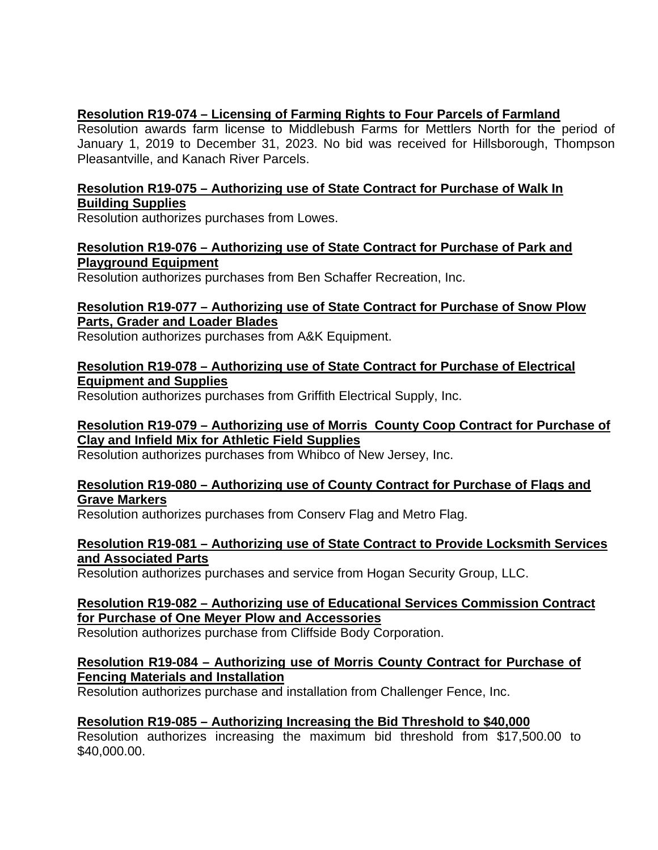# **Resolution R19-074 – Licensing of Farming Rights to Four Parcels of Farmland**

Resolution awards farm license to Middlebush Farms for Mettlers North for the period of January 1, 2019 to December 31, 2023. No bid was received for Hillsborough, Thompson Pleasantville, and Kanach River Parcels.

# **Resolution R19-075 – Authorizing use of State Contract for Purchase of Walk In Building Supplies**

Resolution authorizes purchases from Lowes.

#### **Resolution R19-076 – Authorizing use of State Contract for Purchase of Park and Playground Equipment**

Resolution authorizes purchases from Ben Schaffer Recreation, Inc.

#### **Resolution R19-077 – Authorizing use of State Contract for Purchase of Snow Plow Parts, Grader and Loader Blades**

Resolution authorizes purchases from A&K Equipment.

# **Resolution R19-078 – Authorizing use of State Contract for Purchase of Electrical Equipment and Supplies**

Resolution authorizes purchases from Griffith Electrical Supply, Inc.

#### **Resolution R19-079 – Authorizing use of Morris County Coop Contract for Purchase of Clay and Infield Mix for Athletic Field Supplies**

Resolution authorizes purchases from Whibco of New Jersey, Inc.

#### **Resolution R19-080 – Authorizing use of County Contract for Purchase of Flags and Grave Markers**

Resolution authorizes purchases from Conserv Flag and Metro Flag.

### **Resolution R19-081 – Authorizing use of State Contract to Provide Locksmith Services and Associated Parts**

Resolution authorizes purchases and service from Hogan Security Group, LLC.

### **Resolution R19-082 – Authorizing use of Educational Services Commission Contract for Purchase of One Meyer Plow and Accessories**

Resolution authorizes purchase from Cliffside Body Corporation.

### **Resolution R19-084 – Authorizing use of Morris County Contract for Purchase of Fencing Materials and Installation**

Resolution authorizes purchase and installation from Challenger Fence, Inc.

# **Resolution R19-085 – Authorizing Increasing the Bid Threshold to \$40,000**

Resolution authorizes increasing the maximum bid threshold from \$17,500.00 to \$40,000.00.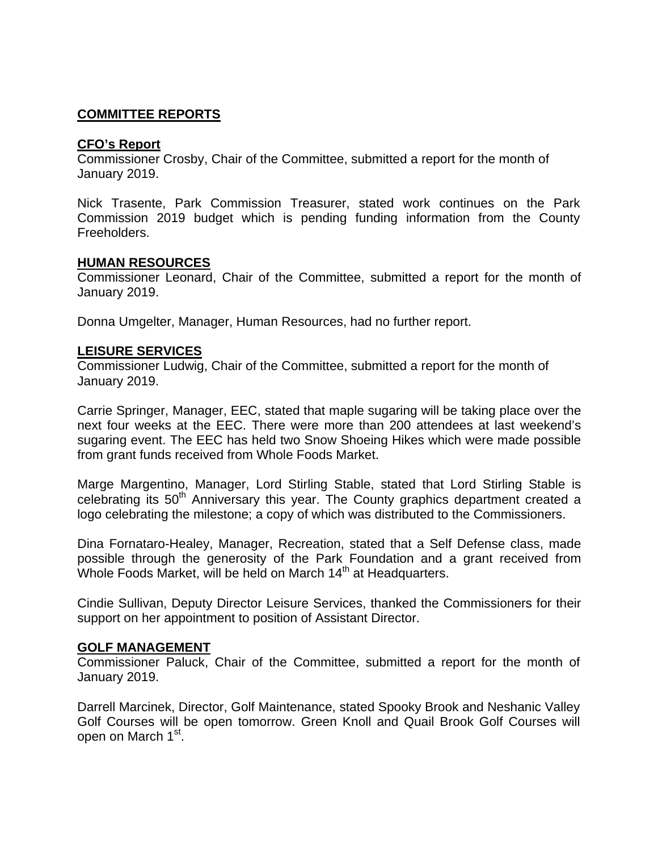### **COMMITTEE REPORTS**

#### **CFO's Report**

Commissioner Crosby, Chair of the Committee, submitted a report for the month of January 2019.

Nick Trasente, Park Commission Treasurer, stated work continues on the Park Commission 2019 budget which is pending funding information from the County Freeholders.

#### **HUMAN RESOURCES**

Commissioner Leonard, Chair of the Committee, submitted a report for the month of January 2019.

Donna Umgelter, Manager, Human Resources, had no further report.

#### **LEISURE SERVICES**

Commissioner Ludwig, Chair of the Committee, submitted a report for the month of January 2019.

Carrie Springer, Manager, EEC, stated that maple sugaring will be taking place over the next four weeks at the EEC. There were more than 200 attendees at last weekend's sugaring event. The EEC has held two Snow Shoeing Hikes which were made possible from grant funds received from Whole Foods Market.

Marge Margentino, Manager, Lord Stirling Stable, stated that Lord Stirling Stable is celebrating its 50<sup>th</sup> Anniversary this year. The County graphics department created a logo celebrating the milestone; a copy of which was distributed to the Commissioners.

Dina Fornataro-Healey, Manager, Recreation, stated that a Self Defense class, made possible through the generosity of the Park Foundation and a grant received from Whole Foods Market, will be held on March 14<sup>th</sup> at Headquarters.

Cindie Sullivan, Deputy Director Leisure Services, thanked the Commissioners for their support on her appointment to position of Assistant Director.

#### **GOLF MANAGEMENT**

Commissioner Paluck, Chair of the Committee, submitted a report for the month of January 2019.

Darrell Marcinek, Director, Golf Maintenance, stated Spooky Brook and Neshanic Valley Golf Courses will be open tomorrow. Green Knoll and Quail Brook Golf Courses will open on March 1<sup>st</sup>.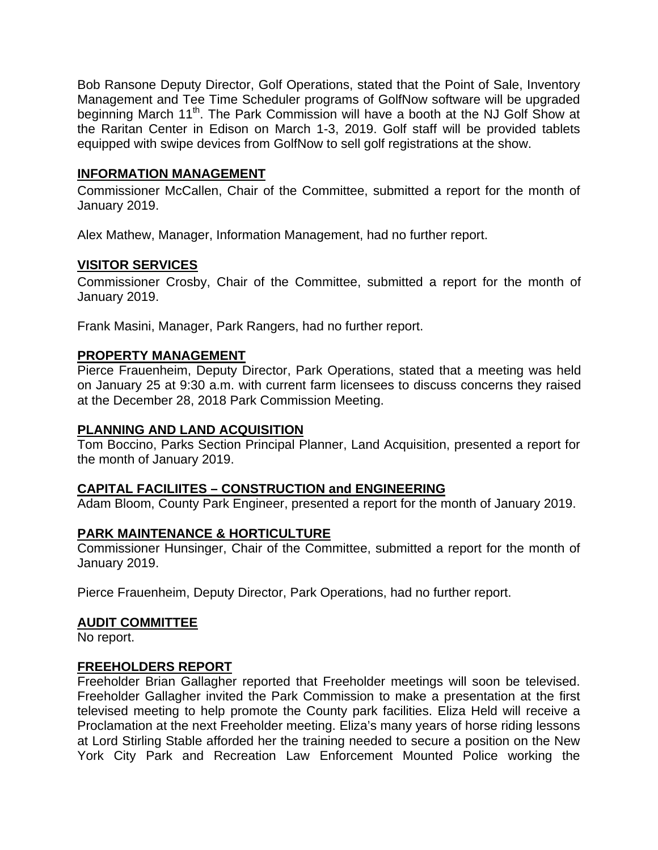Bob Ransone Deputy Director, Golf Operations, stated that the Point of Sale, Inventory Management and Tee Time Scheduler programs of GolfNow software will be upgraded beginning March 11<sup>th</sup>. The Park Commission will have a booth at the NJ Golf Show at the Raritan Center in Edison on March 1-3, 2019. Golf staff will be provided tablets equipped with swipe devices from GolfNow to sell golf registrations at the show.

#### **INFORMATION MANAGEMENT**

Commissioner McCallen, Chair of the Committee, submitted a report for the month of January 2019.

Alex Mathew, Manager, Information Management, had no further report.

### **VISITOR SERVICES**

Commissioner Crosby, Chair of the Committee, submitted a report for the month of January 2019.

Frank Masini, Manager, Park Rangers, had no further report.

#### **PROPERTY MANAGEMENT**

Pierce Frauenheim, Deputy Director, Park Operations, stated that a meeting was held on January 25 at 9:30 a.m. with current farm licensees to discuss concerns they raised at the December 28, 2018 Park Commission Meeting.

#### **PLANNING AND LAND ACQUISITION**

Tom Boccino, Parks Section Principal Planner, Land Acquisition, presented a report for the month of January 2019.

#### **CAPITAL FACILIITES – CONSTRUCTION and ENGINEERING**

Adam Bloom, County Park Engineer, presented a report for the month of January 2019.

#### **PARK MAINTENANCE & HORTICULTURE**

Commissioner Hunsinger, Chair of the Committee, submitted a report for the month of January 2019.

Pierce Frauenheim, Deputy Director, Park Operations, had no further report.

#### **AUDIT COMMITTEE**

No report.

#### **FREEHOLDERS REPORT**

Freeholder Brian Gallagher reported that Freeholder meetings will soon be televised. Freeholder Gallagher invited the Park Commission to make a presentation at the first televised meeting to help promote the County park facilities. Eliza Held will receive a Proclamation at the next Freeholder meeting. Eliza's many years of horse riding lessons at Lord Stirling Stable afforded her the training needed to secure a position on the New York City Park and Recreation Law Enforcement Mounted Police working the